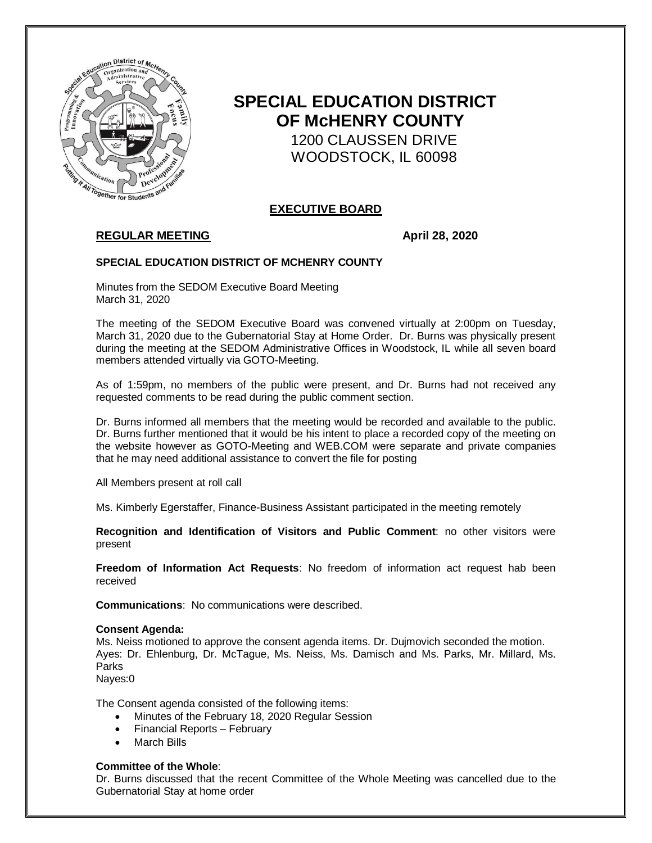

# **SPECIAL EDUCATION DISTRICT OF McHENRY COUNTY**

 1200 CLAUSSEN DRIVE WOODSTOCK, IL 60098

# **EXECUTIVE BOARD**

# **REGULAR MEETING**  April 28, 2020

### **SPECIAL EDUCATION DISTRICT OF MCHENRY COUNTY**

Minutes from the SEDOM Executive Board Meeting March 31, 2020

The meeting of the SEDOM Executive Board was convened virtually at 2:00pm on Tuesday, March 31, 2020 due to the Gubernatorial Stay at Home Order. Dr. Burns was physically present during the meeting at the SEDOM Administrative Offices in Woodstock, IL while all seven board members attended virtually via GOTO-Meeting.

As of 1:59pm, no members of the public were present, and Dr. Burns had not received any requested comments to be read during the public comment section.

Dr. Burns informed all members that the meeting would be recorded and available to the public. Dr. Burns further mentioned that it would be his intent to place a recorded copy of the meeting on the website however as GOTO-Meeting and WEB.COM were separate and private companies that he may need additional assistance to convert the file for posting

All Members present at roll call

Ms. Kimberly Egerstaffer, Finance-Business Assistant participated in the meeting remotely

**Recognition and Identification of Visitors and Public Comment**: no other visitors were present

**Freedom of Information Act Requests**: No freedom of information act request hab been received

**Communications**: No communications were described.

#### **Consent Agenda:**

Ms. Neiss motioned to approve the consent agenda items. Dr. Dujmovich seconded the motion. Ayes: Dr. Ehlenburg, Dr. McTague, Ms. Neiss, Ms. Damisch and Ms. Parks, Mr. Millard, Ms. **Parks** 

Nayes:0

The Consent agenda consisted of the following items:

- Minutes of the February 18, 2020 Regular Session
- Financial Reports February
- March Bills

#### **Committee of the Whole**:

Dr. Burns discussed that the recent Committee of the Whole Meeting was cancelled due to the Gubernatorial Stay at home order